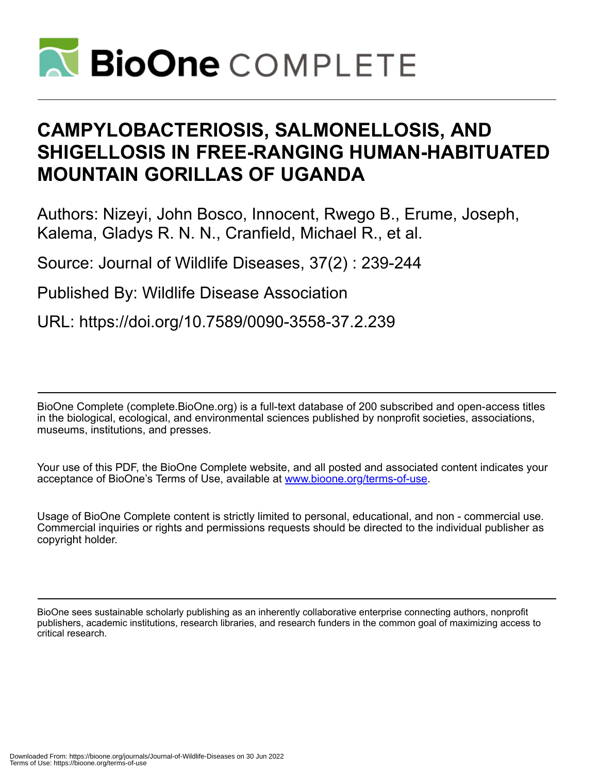

# **CAMPYLOBACTERIOSIS, SALMONELLOSIS, AND SHIGELLOSIS IN FREE-RANGING HUMAN-HABITUATED MOUNTAIN GORILLAS OF UGANDA**

Authors: Nizeyi, John Bosco, Innocent, Rwego B., Erume, Joseph, Kalema, Gladys R. N. N., Cranfield, Michael R., et al.

Source: Journal of Wildlife Diseases, 37(2) : 239-244

Published By: Wildlife Disease Association

URL: https://doi.org/10.7589/0090-3558-37.2.239

BioOne Complete (complete.BioOne.org) is a full-text database of 200 subscribed and open-access titles in the biological, ecological, and environmental sciences published by nonprofit societies, associations, museums, institutions, and presses.

Your use of this PDF, the BioOne Complete website, and all posted and associated content indicates your acceptance of BioOne's Terms of Use, available at www.bioone.org/terms-of-use.

Usage of BioOne Complete content is strictly limited to personal, educational, and non - commercial use. Commercial inquiries or rights and permissions requests should be directed to the individual publisher as copyright holder.

BioOne sees sustainable scholarly publishing as an inherently collaborative enterprise connecting authors, nonprofit publishers, academic institutions, research libraries, and research funders in the common goal of maximizing access to critical research.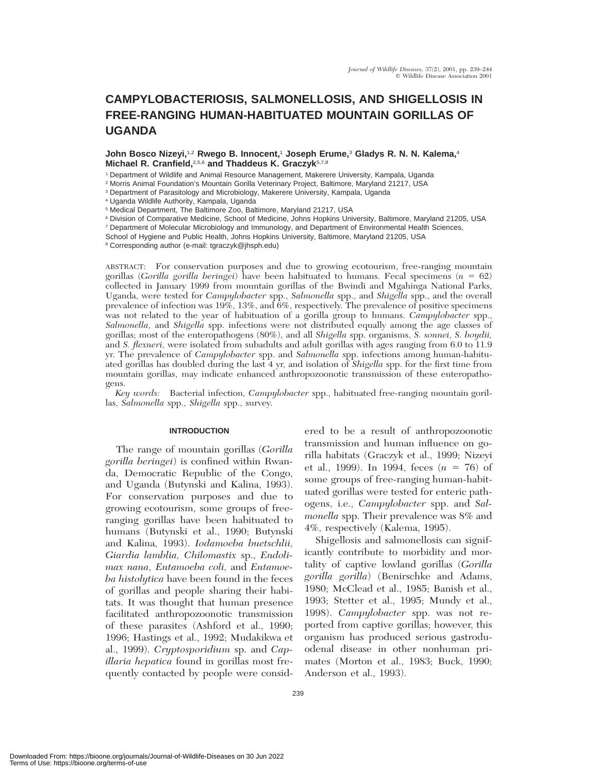# **CAMPYLOBACTERIOSIS, SALMONELLOSIS, AND SHIGELLOSIS IN FREE-RANGING HUMAN-HABITUATED MOUNTAIN GORILLAS OF UGANDA**

## **John Bosco Nizeyi,**1,2 **Rwego B. Innocent,**<sup>1</sup> **Joseph Erume,**<sup>3</sup> **Gladys R. N. N. Kalema,**<sup>4</sup> **Michael R. Cranfield,**2,5,6 **and Thaddeus K. Graczyk**5,7,8

<sup>1</sup> Department of Wildlife and Animal Resource Management, Makerere University, Kampala, Uganda

- <sup>2</sup> Morris Animal Foundation's Mountain Gorilla Veterinary Project, Baltimore, Maryland 21217, USA
- <sup>3</sup> Department of Parasitology and Microbiology, Makerere University, Kampala, Uganda

<sup>4</sup> Uganda Wildlife Authority, Kampala, Uganda

<sup>5</sup> Medical Department, The Baltimore Zoo, Baltimore, Maryland 21217, USA

<sup>6</sup> Division of Comparative Medicine, School of Medicine, Johns Hopkins University, Baltimore, Maryland 21205, USA

- <sup>7</sup> Department of Molecular Microbiology and Immunology, and Department of Environmental Health Sciences,
- School of Hygiene and Public Health, Johns Hopkins University, Baltimore, Maryland 21205, USA

<sup>8</sup> Corresponding author (e-mail: tgraczyk@jhsph.edu)

ABSTRACT: For conservation purposes and due to growing ecotourism, free-ranging mountain gorillas (*Gorilla gorilla beringei*) have been habituated to humans. Fecal specimens (*n* 5 62) collected in January 1999 from mountain gorillas of the Bwindi and Mgahinga National Parks, Uganda, were tested for *Campylobacter* spp., *Salmonella* spp., and *Shigella* spp., and the overall prevalence of infection was 19%, 13%, and 6%, respectively. The prevalence of positive specimens was not related to the year of habituation of a gorilla group to humans. *Campylobacter* spp., *Salmonella,* and *Shigella* spp. infections were not distributed equally among the age classes of gorillas; most of the enteropathogens (80%), and all *Shigella* spp. organisms, *S. sonnei, S. boydii,* and *S. flexneri*, were isolated from subadults and adult gorillas with ages ranging from 6.0 to 11.9 yr. The prevalence of *Campylobacter* spp. and *Salmonella* spp. infections among human-habituated gorillas has doubled during the last 4 yr, and isolation of *Shigella* spp. for the first time from mountain gorillas, may indicate enhanced anthropozoonotic transmission of these enteropathogens.

*Key words:* Bacterial infection, *Campylobacter* spp., habituated free-ranging mountain gorillas, *Salmonella* spp., *Shigella* spp., survey.

#### **INTRODUCTION**

The range of mountain gorillas (*Gorilla gorilla beringei*) is confined within Rwanda, Democratic Republic of the Congo, and Uganda (Butynski and Kalina, 1993). For conservation purposes and due to growing ecotourism, some groups of freeranging gorillas have been habituated to humans (Butynski et al., 1990; Butynski and Kalina, 1993). *Iodamoeba buetschlii, Giardia lamblia, Chilomastix* sp., *Endolimax nana, Entamoeba coli,* and *Entamoeba histolytica* have been found in the feces of gorillas and people sharing their habitats. It was thought that human presence facilitated anthropozoonotic transmission of these parasites (Ashford et al., 1990; 1996; Hastings et al., 1992; Mudakikwa et al., 1999). *Cryptosporidium* sp. and *Capillaria hepatica* found in gorillas most frequently contacted by people were consid-

1993; Stetter et al., 1995; Mundy et al., 1998). *Campylobacter* spp. was not reported from captive gorillas; however, this

organism has produced serious gastroduodenal disease in other nonhuman primates (Morton et al., 1983; Buck, 1990; Anderson et al., 1993).

ered to be a result of anthropozoonotic transmission and human influence on gorilla habitats (Graczyk et al., 1999; Nizeyi et al., 1999). In 1994, feces  $(n = 76)$  of some groups of free-ranging human-habituated gorillas were tested for enteric pathogens, i.e., *Campylobacter* spp. and *Salmonella* spp. Their prevalence was 8% and

Shigellosis and salmonellosis can significantly contribute to morbidity and mortality of captive lowland gorillas (*Gorilla gorilla gorilla*) (Benirschke and Adams, 1980; McClead et al., 1985; Banish et al.,

4%, respectively (Kalema, 1995).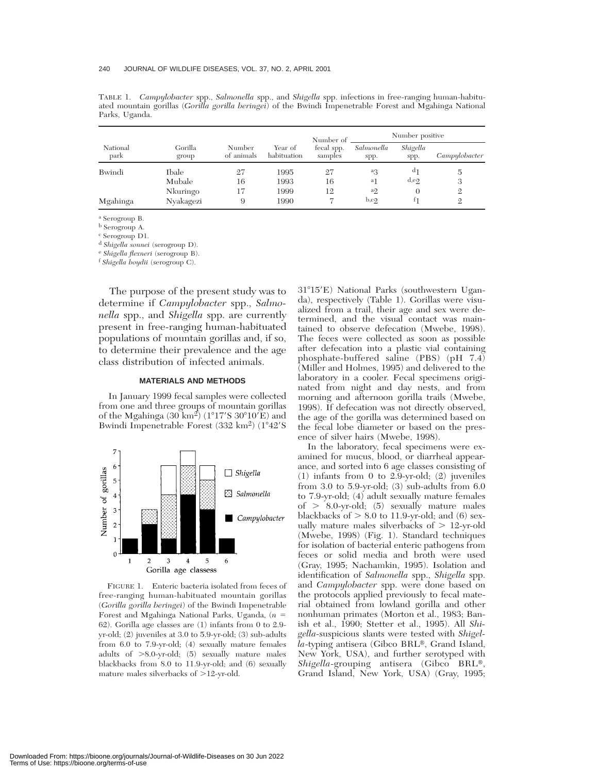TABLE 1. *Campylobacter* spp., *Salmonella* spp., and *Shigella* spp. infections in free-ranging human-habituated mountain gorillas (*Gorilla gorilla beringei*) of the Bwindi Impenetrable Forest and Mgahinga National Parks, Uganda.

| National<br>park | Gorilla<br>group | Number<br>of animals | Year of<br>habituation | Number of<br>fecal spp.<br>samples | Number positive    |                  |                |
|------------------|------------------|----------------------|------------------------|------------------------------------|--------------------|------------------|----------------|
|                  |                  |                      |                        |                                    | Salmonella<br>spp. | Shigella<br>spp. | Campylobacter  |
| Bwindi           | Ibale            | 27                   | 1995                   | 27                                 | а3                 |                  | 5              |
|                  | Mubale           | 16                   | 1993                   | 16                                 | a <sub>1</sub>     | $d,e_2$          | 3              |
|                  | Nkuringo         | 17                   | 1999                   | 12                                 | $a_2$              | 0                | $\mathfrak{2}$ |
| Mgahinga         | Nyakagezi        | 9                    | 1990                   |                                    | $b$ , co.          |                  | 2              |

<sup>a</sup> Serogroup B.

<sup>b</sup> Serogroup A.

<sup>c</sup> Serogroup D1.

<sup>d</sup> *Shigella sonnei* (serogroup D).

<sup>e</sup> *Shigella flexneri* (serogroup B).

<sup>f</sup> *Shigella boydii* (serogroup C).

The purpose of the present study was to determine if *Campylobacter* spp., *Salmonella* spp., and *Shigella* spp. are currently present in free-ranging human-habituated populations of mountain gorillas and, if so, to determine their prevalence and the age class distribution of infected animals.

#### **MATERIALS AND METHODS**

In January 1999 fecal samples were collected from one and three groups of mountain gorillas of the Mgahinga  $(30 \text{ km}^2)$   $(1^{\circ}17'$ S  $30^{\circ}10'$ E) and Bwindi Impenetrable Forest  $(332 \text{ km}^2)$   $(1^{\circ}42^{\prime}S)$ 



FIGURE 1. Enteric bacteria isolated from feces of free-ranging human-habituated mountain gorillas (*Gorilla gorilla beringei*) of the Bwindi Impenetrable Forest and Mgahinga National Parks, Uganda, (*n* = 62). Gorilla age classes are (1) infants from 0 to 2.9 yr-old; (2) juveniles at 3.0 to 5.9-yr-old; (3) sub-adults from 6.0 to 7.9-yr-old; (4) sexually mature females adults of  $>8.0$ -yr-old; (5) sexually mature males blackbacks from 8.0 to 11.9-yr-old; and (6) sexually mature males silverbacks of  $>12$ -yr-old.

31°15'E) National Parks (southwestern Uganda), respectively (Table 1). Gorillas were visualized from a trail, their age and sex were determined, and the visual contact was maintained to observe defecation (Mwebe, 1998). The feces were collected as soon as possible after defecation into a plastic vial containing phosphate-buffered saline (PBS) (pH 7.4) (Miller and Holmes, 1995) and delivered to the laboratory in a cooler. Fecal specimens originated from night and day nests, and from morning and afternoon gorilla trails (Mwebe, 1998). If defecation was not directly observed, the age of the gorilla was determined based on the fecal lobe diameter or based on the presence of silver hairs (Mwebe, 1998).

In the laboratory, fecal specimens were examined for mucus, blood, or diarrheal appearance, and sorted into 6 age classes consisting of (1) infants from 0 to 2.9-yr-old; (2) juveniles from 3.0 to 5.9-yr-old; (3) sub-adults from  $6.0$ to 7.9-yr-old; (4) adult sexually mature females of  $>$  8.0-yr-old; (5) sexually mature males blackbacks of  $> 8.0$  to 11.9-yr-old; and (6) sexually mature males silverbacks of  $> 12$ -yr-old (Mwebe, 1998) (Fig. 1). Standard techniques for isolation of bacterial enteric pathogens from feces or solid media and broth were used (Gray, 1995; Nachamkin, 1995). Isolation and identification of *Salmonella* spp., *Shigella* spp. and *Campylobacter* spp. were done based on the protocols applied previously to fecal material obtained from lowland gorilla and other nonhuman primates (Morton et al., 1983; Banish et al., 1990; Stetter et al., 1995). All *Shigella*-suspicious slants were tested with *Shigella*-typing antisera (Gibco BRL®, Grand Island, New York, USA), and further serotyped with *Shigella*-grouping antisera (Gibco BRL®, Grand Island, New York, USA) (Gray, 1995;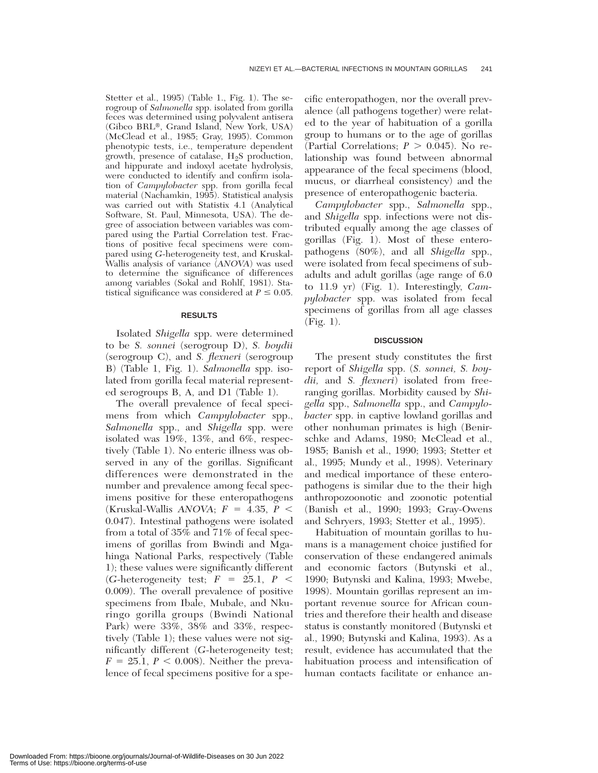Stetter et al., 1995) (Table 1., Fig. 1). The serogroup of *Salmonella* spp. isolated from gorilla feces was determined using polyvalent antisera  $(Gibco BRL<sup>®</sup>, Grand Island, New York, USA)$ (McClead et al., 1985; Gray, 1995). Common phenotypic tests, i.e., temperature dependent growth, presence of catalase, H2S production, and hippurate and indoxyl acetate hydrolysis, were conducted to identify and confirm isolation of *Campylobacter* spp. from gorilla fecal material (Nachamkin, 1995). Statistical analysis was carried out with Statistix 4.1 (Analytical Software, St. Paul, Minnesota, USA). The degree of association between variables was compared using the Partial Correlation test. Fractions of positive fecal specimens were compared using *G*-heterogeneity test, and Kruskal-Wallis analysis of variance (*ANOVA*) was used to determine the significance of differences among variables (Sokal and Rohlf, 1981). Statistical significance was considered at  $P \leq 0.05$ .

#### **RESULTS**

Isolated *Shigella* spp. were determined to be *S. sonnei* (serogroup D), *S. boydii* (serogroup C), and *S. flexneri* (serogroup B) (Table 1, Fig. 1). *Salmonella* spp. isolated from gorilla fecal material represented serogroups B, A, and D1 (Table 1).

The overall prevalence of fecal specimens from which *Campylobacter* spp., *Salmonella* spp., and *Shigella* spp. were isolated was 19%, 13%, and 6%, respectively (Table 1). No enteric illness was observed in any of the gorillas. Significant differences were demonstrated in the number and prevalence among fecal specimens positive for these enteropathogens  $(Kruskal-Wallis ANOVA; F = 4.35, P <$ 0.047). Intestinal pathogens were isolated from a total of 35% and 71% of fecal specimens of gorillas from Bwindi and Mgahinga National Parks, respectively (Table 1); these values were significantly different (*G*-heterogeneity test;  $F = 25.1, P <$ 0.009). The overall prevalence of positive specimens from Ibale, Mubale, and Nkuringo gorilla groups (Bwindi National Park) were 33%, 38% and 33%, respectively (Table 1); these values were not significantly different (*G*-heterogeneity test;  $F = 25.1$ ,  $P < 0.008$ ). Neither the prevalence of fecal specimens positive for a spe-

cific enteropathogen, nor the overall prevalence (all pathogens together) were related to the year of habituation of a gorilla group to humans or to the age of gorillas (Partial Correlations;  $P > 0.045$ ). No relationship was found between abnormal appearance of the fecal specimens (blood, mucus, or diarrheal consistency) and the presence of enteropathogenic bacteria.

*Campylobacter* spp., *Salmonella* spp., and *Shigella* spp. infections were not distributed equally among the age classes of gorillas (Fig. 1). Most of these enteropathogens (80%), and all *Shigella* spp., were isolated from fecal specimens of subadults and adult gorillas (age range of 6.0 to 11.9 yr) (Fig. 1). Interestingly, *Campylobacter* spp. was isolated from fecal specimens of gorillas from all age classes (Fig. 1).

#### **DISCUSSION**

The present study constitutes the first report of *Shigella* spp. (*S. sonnei, S. boydii,* and *S. flexneri*) isolated from freeranging gorillas. Morbidity caused by *Shigella* spp., *Salmonella* spp., and *Campylobacter* spp. in captive lowland gorillas and other nonhuman primates is high (Benirschke and Adams, 1980; McClead et al., 1985; Banish et al., 1990; 1993; Stetter et al., 1995; Mundy et al., 1998). Veterinary and medical importance of these enteropathogens is similar due to the their high anthropozoonotic and zoonotic potential (Banish et al., 1990; 1993; Gray-Owens and Schryers, 1993; Stetter et al., 1995).

Habituation of mountain gorillas to humans is a management choice justified for conservation of these endangered animals and economic factors (Butynski et al., 1990; Butynski and Kalina, 1993; Mwebe, 1998). Mountain gorillas represent an important revenue source for African countries and therefore their health and disease status is constantly monitored (Butynski et al., 1990; Butynski and Kalina, 1993). As a result, evidence has accumulated that the habituation process and intensification of human contacts facilitate or enhance an-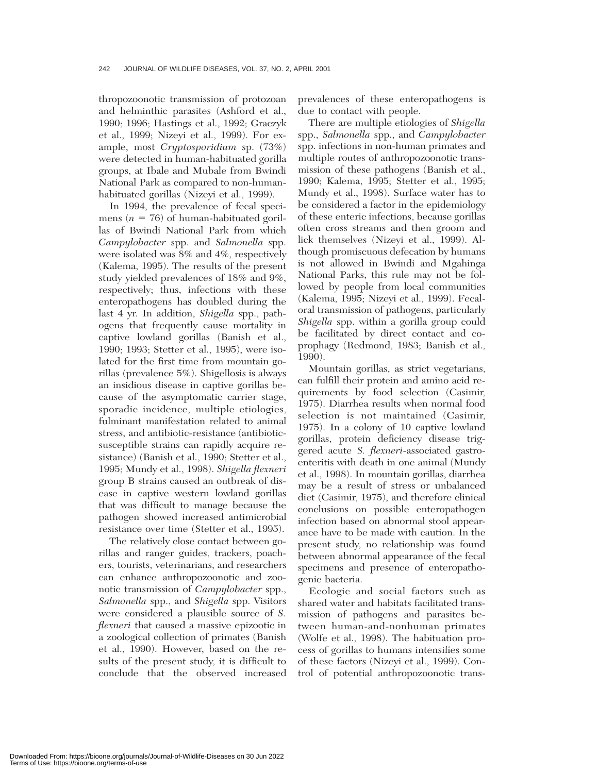thropozoonotic transmission of protozoan and helminthic parasites (Ashford et al., 1990; 1996; Hastings et al., 1992; Graczyk et al., 1999; Nizeyi et al., 1999). For example, most *Cryptosporidium* sp. (73%) were detected in human-habituated gorilla groups, at Ibale and Mubale from Bwindi National Park as compared to non-humanhabituated gorillas (Nizeyi et al., 1999).

In 1994, the prevalence of fecal specimens  $(n = 76)$  of human-habituated gorillas of Bwindi National Park from which *Campylobacter* spp. and *Salmonella* spp. were isolated was 8% and 4%, respectively (Kalema, 1995). The results of the present study yielded prevalences of 18% and 9%, respectively; thus, infections with these enteropathogens has doubled during the last 4 yr. In addition, *Shigella* spp., pathogens that frequently cause mortality in captive lowland gorillas (Banish et al., 1990; 1993; Stetter et al., 1995), were isolated for the first time from mountain gorillas (prevalence 5%). Shigellosis is always an insidious disease in captive gorillas because of the asymptomatic carrier stage, sporadic incidence, multiple etiologies, fulminant manifestation related to animal stress, and antibiotic-resistance (antibioticsusceptible strains can rapidly acquire resistance) (Banish et al., 1990; Stetter et al., 1995; Mundy et al., 1998). *Shigella flexneri* group B strains caused an outbreak of disease in captive western lowland gorillas that was difficult to manage because the pathogen showed increased antimicrobial resistance over time (Stetter et al., 1995).

The relatively close contact between gorillas and ranger guides, trackers, poachers, tourists, veterinarians, and researchers can enhance anthropozoonotic and zoonotic transmission of *Campylobacter* spp., *Salmonella* spp., and *Shigella* spp. Visitors were considered a plausible source of *S. flexneri* that caused a massive epizootic in a zoological collection of primates (Banish et al., 1990). However, based on the results of the present study, it is difficult to conclude that the observed increased

prevalences of these enteropathogens is due to contact with people.

There are multiple etiologies of *Shigella* spp., *Salmonella* spp., and *Campylobacter* spp. infections in non-human primates and multiple routes of anthropozoonotic transmission of these pathogens (Banish et al., 1990; Kalema, 1995; Stetter et al., 1995; Mundy et al., 1998). Surface water has to be considered a factor in the epidemiology of these enteric infections, because gorillas often cross streams and then groom and lick themselves (Nizeyi et al., 1999). Although promiscuous defecation by humans is not allowed in Bwindi and Mgahinga National Parks, this rule may not be followed by people from local communities (Kalema, 1995; Nizeyi et al., 1999). Fecaloral transmission of pathogens, particularly *Shigella* spp. within a gorilla group could be facilitated by direct contact and coprophagy (Redmond, 1983; Banish et al., 1990).

Mountain gorillas, as strict vegetarians, can fulfill their protein and amino acid requirements by food selection (Casimir, 1975). Diarrhea results when normal food selection is not maintained (Casimir, 1975). In a colony of 10 captive lowland gorillas, protein deficiency disease triggered acute *S. flexneri*-associated gastroenteritis with death in one animal (Mundy et al., 1998). In mountain gorillas, diarrhea may be a result of stress or unbalanced diet (Casimir, 1975), and therefore clinical conclusions on possible enteropathogen infection based on abnormal stool appearance have to be made with caution. In the present study, no relationship was found between abnormal appearance of the fecal specimens and presence of enteropathogenic bacteria.

Ecologic and social factors such as shared water and habitats facilitated transmission of pathogens and parasites between human-and-nonhuman primates (Wolfe et al., 1998). The habituation process of gorillas to humans intensifies some of these factors (Nizeyi et al., 1999). Control of potential anthropozoonotic trans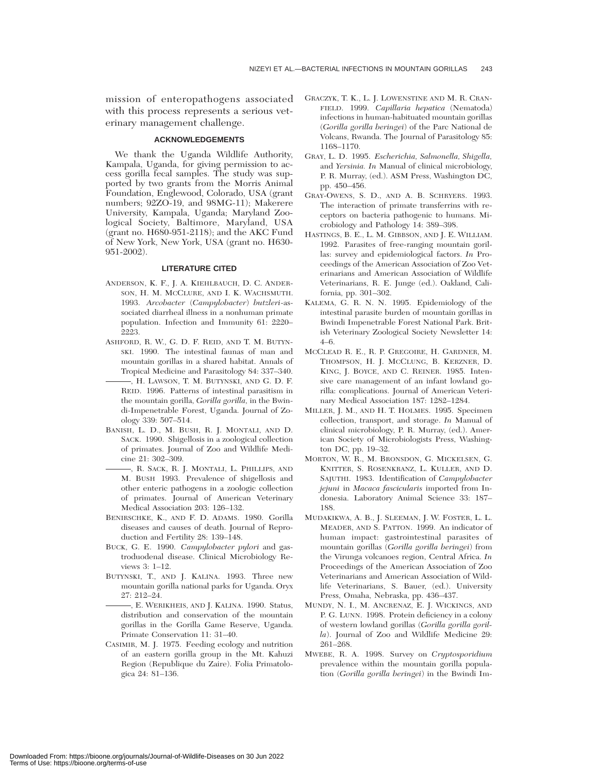mission of enteropathogens associated with this process represents a serious veterinary management challenge.

### **ACKNOWLEDGEMENTS**

We thank the Uganda Wildlife Authority, Kampala, Uganda, for giving permission to access gorilla fecal samples. The study was supported by two grants from the Morris Animal Foundation, Englewood, Colorado, USA (grant numbers; 92ZO-19, and 98MG-11); Makerere University, Kampala, Uganda; Maryland Zoological Society, Baltimore, Maryland, USA (grant no. H680-951-2118); and the AKC Fund of New York, New York, USA (grant no. H630- 951-2002).

### **LITERATURE CITED**

- ANDERSON, K. F., J. A. KIEHLBAUCH, D. C. ANDER-SON, H. M. MCCLURE, AND I. K. WACHSMUTH. 1993. *Arcobacter* (*Campylobacter*) *butzleri*-associated diarrheal illness in a nonhuman primate population. Infection and Immunity 61: 2220– 2223.
- ASHFORD, R. W., G. D. F. REID, AND T. M. BUTYN-SKI. 1990. The intestinal faunas of man and mountain gorillas in a shared habitat. Annals of Tropical Medicine and Parasitology 84: 337–340.
- , H. LAWSON, T. M. BUTYNSKI, AND G. D. F. REID. 1996. Patterns of intestinal parasitism in the mountain gorilla, *Gorilla gorilla,* in the Bwindi-Impenetrable Forest, Uganda. Journal of Zoology 339: 507–514.
- BANISH, L. D., M. BUSH, R. J. MONTALI, AND D. SACK. 1990. Shigellosis in a zoological collection of primates. Journal of Zoo and Wildlife Medicine 21: 302–309.
- , R. SACK, R. J. MONTALI, L. PHILLIPS, AND M. BUSH 1993. Prevalence of shigellosis and other enteric pathogens in a zoologic collection of primates. Journal of American Veterinary Medical Association 203: 126–132.
- BENIRSCHKE, K., AND F. D. ADAMS. 1980. Gorilla diseases and causes of death. Journal of Reproduction and Fertility 28: 139–148.
- BUCK, G. E. 1990. *Campylobacter pylori* and gastroduodenal disease. Clinical Microbiology Reviews 3: 1–12.
- BUTYNSKI, T., AND J. KALINA. 1993. Three new mountain gorilla national parks for Uganda. Oryx 27: 212–24.
- , E. WERIKHEIS, AND J. KALINA. 1990. Status, distribution and conservation of the mountain gorillas in the Gorilla Game Reserve, Uganda. Primate Conservation 11: 31–40.
- CASIMIR, M. J. 1975. Feeding ecology and nutrition of an eastern gorilla group in the Mt. Kahuzi Region (Republique du Zaire). Folia Primatologica 24: 81–136.
- GRACZYK, T. K., L. J. LOWENSTINE AND M. R. CRAN-FIELD. 1999. *Capillaria hepatica* (Nematoda) infections in human-habituated mountain gorillas (*Gorilla gorilla beringei*) of the Parc National de Volcans, Rwanda. The Journal of Parasitology 85: 1168–1170.
- GRAY, L. D. 1995. *Escherichia, Salmonella, Shigella,* and *Yersinia. In* Manual of clinical microbiology, P. R. Murray, (ed.). ASM Press, Washington DC, pp. 450–456.
- GRAY-OWENS, S. D., AND A. B. SCHRYERS. 1993. The interaction of primate transferrins with receptors on bacteria pathogenic to humans. Microbiology and Pathology 14: 389–398.
- HASTINGS, B. E., L. M. GIBBSON, AND J. E. WILLIAM. 1992. Parasites of free-ranging mountain gorillas: survey and epidemiological factors. *In* Proceedings of the American Association of Zoo Veterinarians and American Association of Wildlife Veterinarians, R. E. Junge (ed.). Oakland, California, pp. 301–302.
- KALEMA, G. R. N. N. 1995. Epidemiology of the intestinal parasite burden of mountain gorillas in Bwindi Impenetrable Forest National Park. British Veterinary Zoological Society Newsletter 14: 4–6.
- MCCLEAD R. E., R. P. GREGOIRE, H. GARDNER, M. THOMPSON, H. J. MCCLUNG, B. KERZNER, D. KING, J. BOYCE, AND C. REINER. 1985. Intensive care management of an infant lowland gorilla: complications. Journal of American Veterinary Medical Association 187: 1282–1284.
- MILLER, J. M., AND H. T. HOLMES. 1995. Specimen collection, transport, and storage. *In* Manual of clinical microbiology, P. R. Murray, (ed.). American Society of Microbiologists Press, Washington DC, pp. 19–32.
- MORTON, W. R., M. BRONSDON, G. MICKELSEN, G. KNITTER, S. ROSENKRANZ, L. KULLER, AND D. SAJUTHI. 1983. Identification of *Campylobacter jejuni* in *Macaca fascicularis* imported from Indonesia. Laboratory Animal Science 33: 187– 188.
- MUDAKIKWA, A. B., J. SLEEMAN, J. W. FOSTER, L. L. MEADER, AND S. PATTON. 1999. An indicator of human impact: gastrointestinal parasites of mountain gorillas (*Gorilla gorilla beringei*) from the Virunga volcanoes region, Central Africa. *In* Proceedings of the American Association of Zoo Veterinarians and American Association of Wildlife Veterinarians, S. Bauer, (ed.). University Press, Omaha, Nebraska, pp. 436–437.
- MUNDY, N. I., M. ANCRENAZ, E. J. WICKINGS, AND P. G. LUNN. 1998. Protein deficiency in a colony of western lowland gorillas (*Gorilla gorilla gorilla*). Journal of Zoo and Wildlife Medicine 29: 261–268.
- MWEBE, R. A. 1998. Survey on *Cryptosporidium* prevalence within the mountain gorilla population (*Gorilla gorilla beringei*) in the Bwindi Im-

Downloaded From: https://bioone.org/journals/Journal-of-Wildlife-Diseases on 30 Jun 2022 Terms of Use: https://bioone.org/terms-of-use